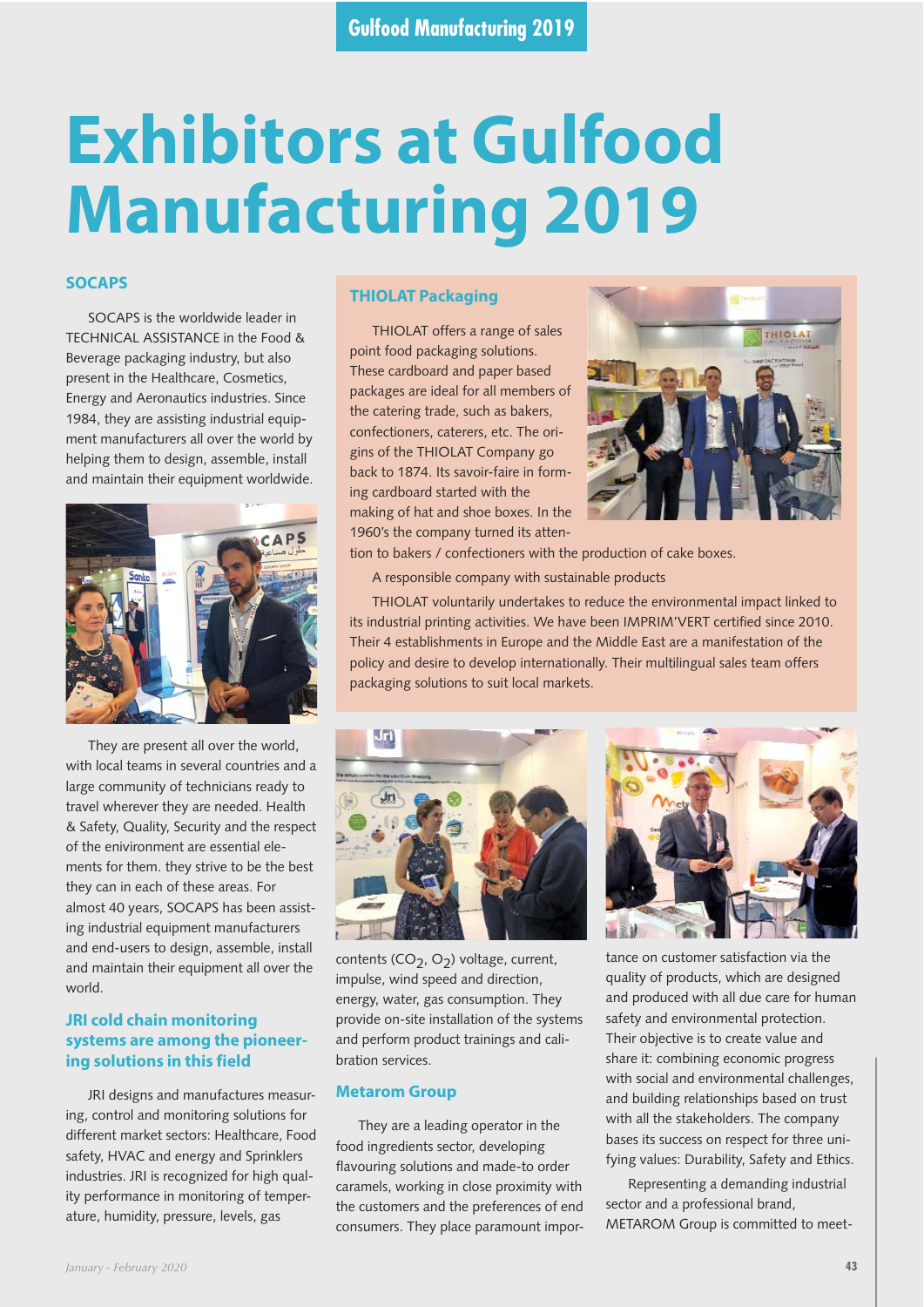# **Exhibitors at Gulfood Manufacturing 2019**

# **SOCAPS**

SOCAPS is the worldwide leader in TECHNICAL ASSISTANCE in the Food & Beverage packaging industry, but also present in the Healthcare, Cosmetics, Energy and Aeronautics industries. Since 1984, they are assisting industrial equipment manufacturers all over the world by helping them to design, assemble, install and maintain their equipment worldwide.



They are present all over the world, with local teams in several countries and a large community of technicians ready to travel wherever they are needed. Health & Safety, Quality, Security and the respect of the enivironment are essential elements for them. they strive to be the best they can in each of these areas. For almost 40 years, SOCAPS has been assisting industrial equipment manufacturers and end-users to design, assemble, install and maintain their equipment all over the world.

# **JRI cold chain monitoring systems are among the pioneering solutions in this field**

JRI designs and manufactures measuring, control and monitoring solutions for different market sectors: Healthcare, Food safety, HVAC and energy and Sprinklers industries. JRI is recognized for high quality performance in monitoring of temperature, humidity, pressure, levels, gas

# **THIOLAT Packaging**

THIOLAT offers a range of sales point food packaging solutions. These cardboard and paper based packages are ideal for all members of the catering trade, such as bakers, confectioners, caterers, etc. The origins of the THIOLAT Company go back to 1874. Its savoir-faire in forming cardboard started with the making of hat and shoe boxes. In the 1960's the company turned its atten-



tion to bakers / confectioners with the production of cake boxes.

A responsible company with sustainable products

THIOLAT voluntarily undertakes to reduce the environmental impact linked to its industrial printing activities. We have been IMPRIM'VERT certified since 2010. Their 4 establishments in Europe and the Middle East are a manifestation of the policy and desire to develop internationally. Their multilingual sales team offers packaging solutions to suit local markets.



contents ( $CO_2$ ,  $O_2$ ) voltage, current, impulse, wind speed and direction, energy, water, gas consumption. They provide on-site installation of the systems and perform product trainings and calibration services.

#### **Metarom Group**

They are a leading operator in the food ingredients sector, developing flavouring solutions and made-to order caramels, working in close proximity with the customers and the preferences of end consumers. They place paramount impor-



tance on customer satisfaction via the quality of products, which are designed and produced with all due care for human safety and environmental protection. Their objective is to create value and share it: combining economic progress with social and environmental challenges, and building relationships based on trust with all the stakeholders. The company bases its success on respect for three unifying values: Durability, Safety and Ethics.

Representing a demanding industrial sector and a professional brand, METAROM Group is committed to meet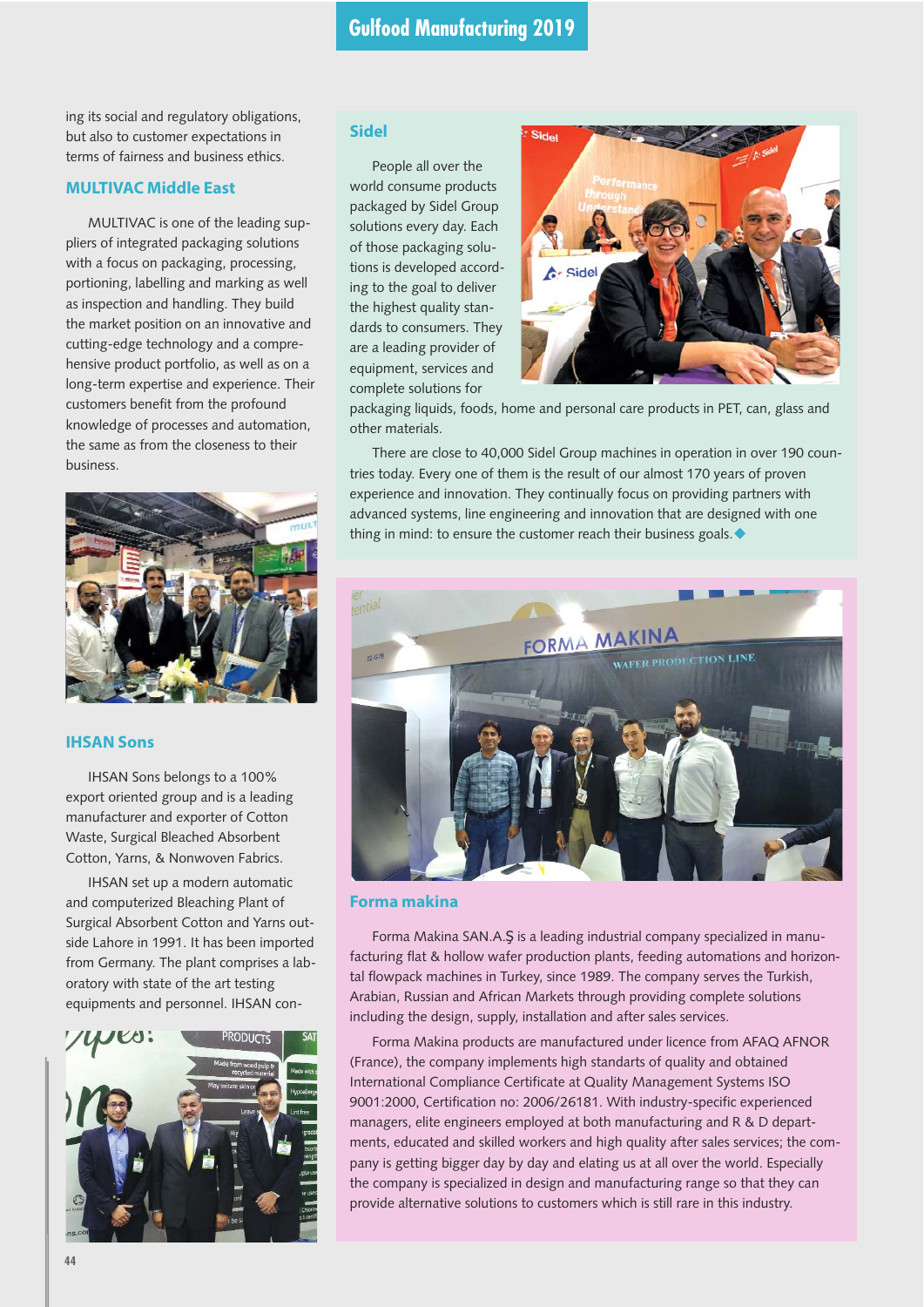ing its social and regulatory obligations, but also to customer expectations in terms of fairness and business ethics.

# **MULTIVAC Middle East**

MULTIVAC is one of the leading suppliers of integrated packaging solutions with a focus on packaging, processing, portioning, labelling and marking as well as inspection and handling. They build the market position on an innovative and cutting-edge technology and a comprehensive product portfolio, as well as on a long-term expertise and experience. Their customers benefit from the profound knowledge of processes and automation, the same as from the closeness to their business.



# **IHSAN Sons**

IHSAN Sons belongs to a 100% export oriented group and is a leading manufacturer and exporter of Cotton Waste, Surgical Bleached Absorbent Cotton, Yarns, & Nonwoven Fabrics.

IHSAN set up a modern automatic and computerized Bleaching Plant of Surgical Absorbent Cotton and Yarns outside Lahore in 1991. It has been imported from Germany. The plant comprises a laboratory with state of the art testing equipments and personnel. IHSAN con-



# **Sidel**

People all over the world consume products packaged by Sidel Group solutions every day. Each of those packaging solutions is developed according to the goal to deliver the highest quality standards to consumers. They are a leading provider of equipment, services and complete solutions for



packaging liquids, foods, home and personal care products in PET, can, glass and other materials.

There are close to 40,000 Sidel Group machines in operation in over 190 countries today. Every one of them is the result of our almost 170 years of proven experience and innovation. They continually focus on providing partners with advanced systems, line engineering and innovation that are designed with one thing in mind: to ensure the customer reach their business goals.  $\blacklozenge$ 



#### **Forma makina**

Forma Makina SAN.A.Ş is a leading industrial company specialized in manufacturing flat & hollow wafer production plants, feeding automations and horizontal flowpack machines in Turkey, since 1989. The company serves the Turkish, Arabian, Russian and African Markets through providing complete solutions including the design, supply, installation and after sales services.

Forma Makina products are manufactured under licence from AFAQ AFNOR (France), the company implements high standarts of quality and obtained International Compliance Certificate at Quality Management Systems ISO 9001:2000, Certification no: 2006/26181. With industry-specific experienced managers, elite engineers employed at both manufacturing and R & D departments, educated and skilled workers and high quality after sales services; the company is getting bigger day by day and elating us at all over the world. Especially the company is specialized in design and manufacturing range so that they can provide alternative solutions to customers which is still rare in this industry.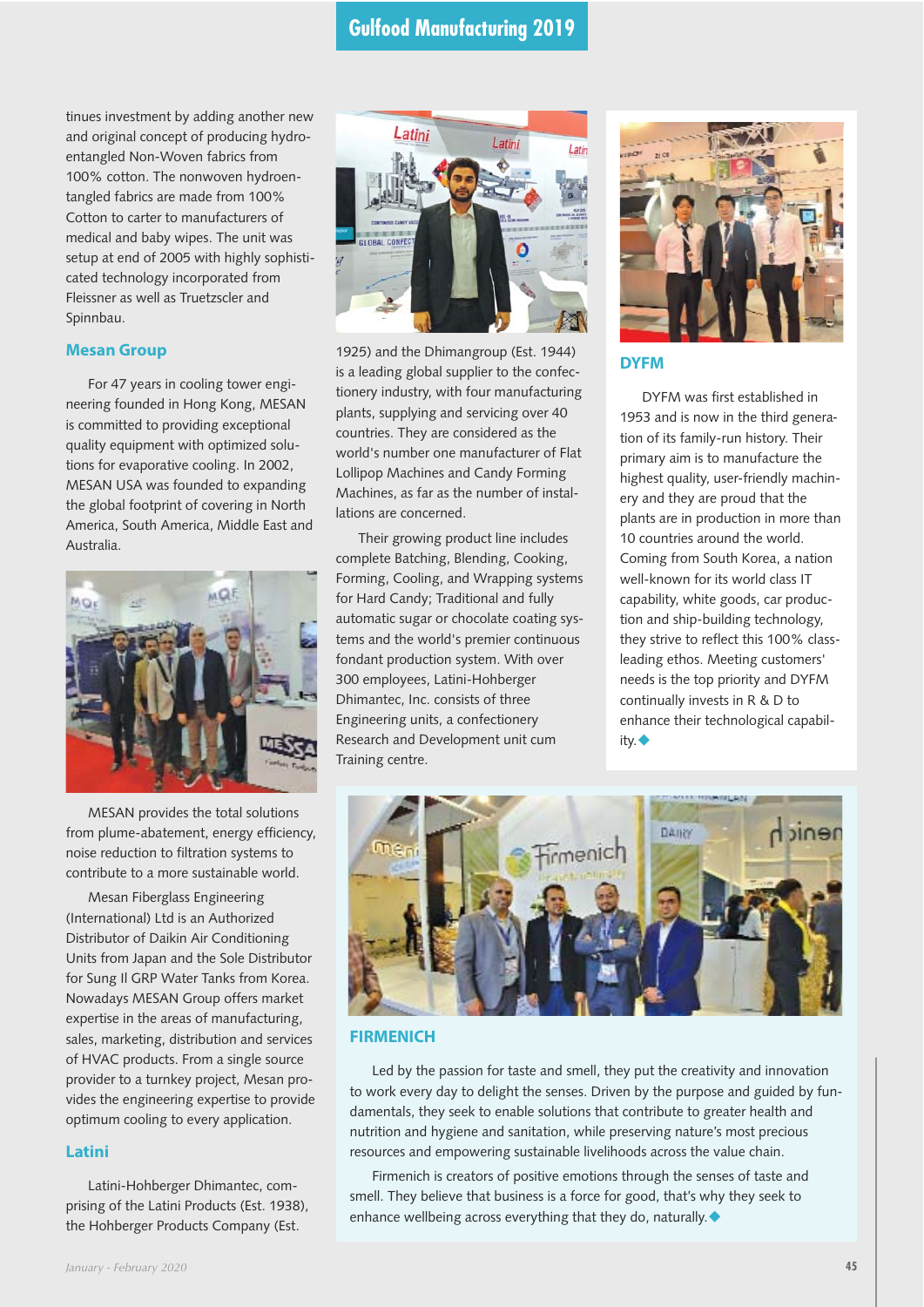# **Gulfood Manufacturing 2019**

tinues investment by adding another new and original concept of producing hydroentangled Non-Woven fabrics from 100% cotton. The nonwoven hydroentangled fabrics are made from 100% Cotton to carter to manufacturers of medical and baby wipes. The unit was setup at end of 2005 with highly sophisticated technology incorporated from Fleissner as well as Truetzscler and Spinnbau.

### **Mesan Group**

For 47 years in cooling tower engineering founded in Hong Kong, MESAN is committed to providing exceptional quality equipment with optimized solutions for evaporative cooling. In 2002, MESAN USA was founded to expanding the global footprint of covering in North America, South America, Middle East and Australia.



MESAN provides the total solutions from plume-abatement, energy efficiency, noise reduction to filtration systems to contribute to a more sustainable world.

Mesan Fiberglass Engineering (International) Ltd is an Authorized Distributor of Daikin Air Conditioning Units from Japan and the Sole Distributor for Sung Il GRP Water Tanks from Korea. Nowadays MESAN Group offers market expertise in the areas of manufacturing, sales, marketing, distribution and services of HVAC products. From a single source provider to a turnkey project, Mesan provides the engineering expertise to provide optimum cooling to every application.

# **Latini**

Latini-Hohberger Dhimantec, comprising of the Latini Products (Est. 1938), the Hohberger Products Company (Est.



1925) and the Dhimangroup (Est. 1944) is a leading global supplier to the confectionery industry, with four manufacturing plants, supplying and servicing over 40 countries. They are considered as the world's number one manufacturer of Flat Lollipop Machines and Candy Forming Machines, as far as the number of installations are concerned.

Their growing product line includes complete Batching, Blending, Cooking, Forming, Cooling, and Wrapping systems for Hard Candy; Traditional and fully automatic sugar or chocolate coating systems and the world's premier continuous fondant production system. With over 300 employees, Latini-Hohberger Dhimantec, Inc. consists of three Engineering units, a confectionery Research and Development unit cum Training centre.



# **DYFM**

DYFM was first established in 1953 and is now in the third generation of its family-run history. Their primary aim is to manufacture the highest quality, user-friendly machinery and they are proud that the plants are in production in more than 10 countries around the world. Coming from South Korea, a nation well-known for its world class IT capability, white goods, car production and ship-building technology, they strive to reflect this 100% classleading ethos. Meeting customers' needs is the top priority and DYFM continually invests in R & D to enhance their technological capabil $ity.$ 



#### **FIRMENICH**

Led by the passion for taste and smell, they put the creativity and innovation to work every day to delight the senses. Driven by the purpose and guided by fundamentals, they seek to enable solutions that contribute to greater health and nutrition and hygiene and sanitation, while preserving nature's most precious resources and empowering sustainable livelihoods across the value chain.

Firmenich is creators of positive emotions through the senses of taste and smell. They believe that business is a force for good, that's why they seek to enhance wellbeing across everything that they do, naturally.  $\blacklozenge$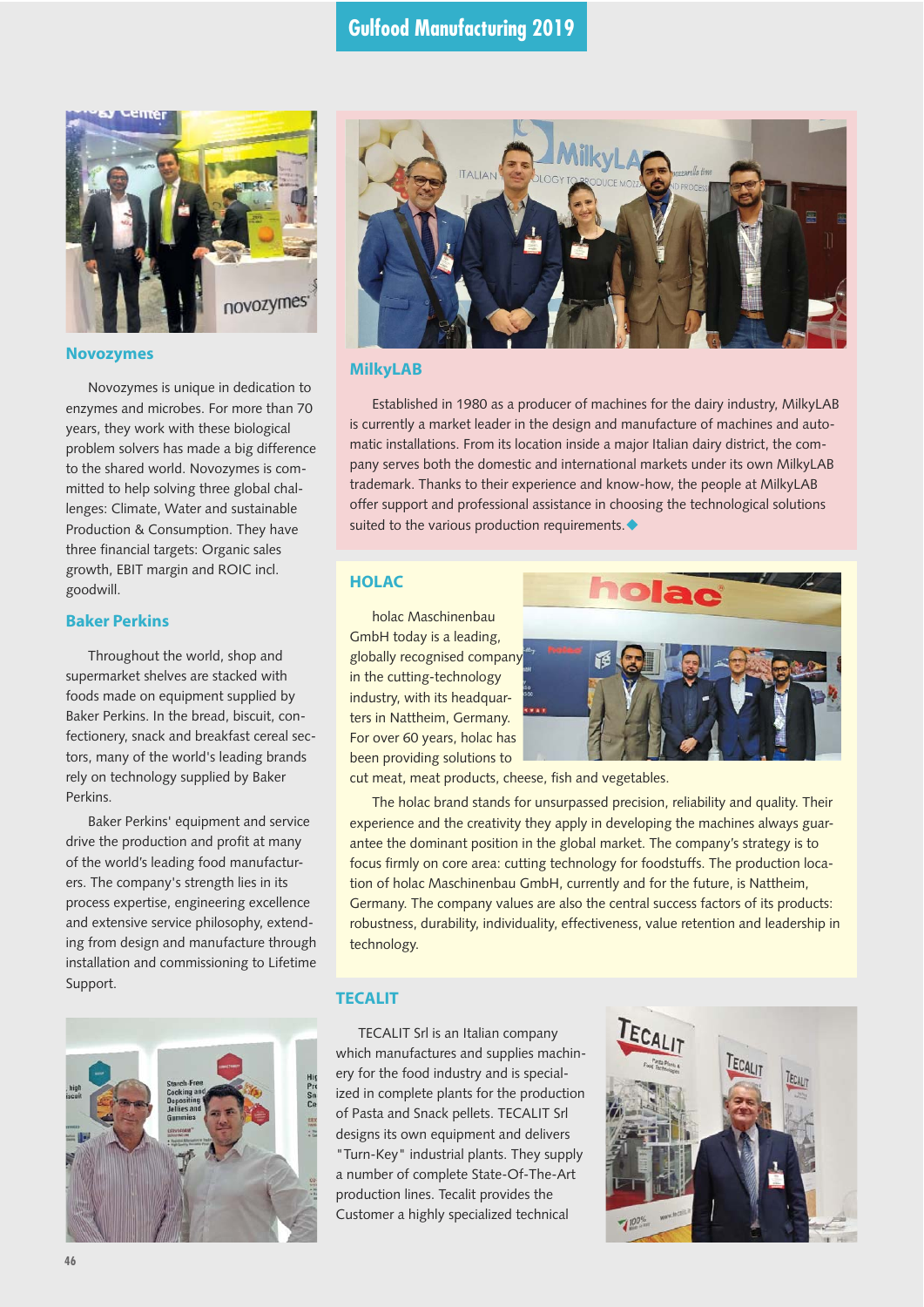

#### **Novozymes**

Novozymes is unique in dedication to enzymes and microbes. For more than 70 years, they work with these biological problem solvers has made a big difference to the shared world. Novozymes is committed to help solving three global challenges: Climate, Water and sustainable Production & Consumption. They have three financial targets: Organic sales growth, EBIT margin and ROIC incl. goodwill.

# **Baker Perkins**

Throughout the world, shop and supermarket shelves are stacked with foods made on equipment supplied by Baker Perkins. In the bread, biscuit, confectionery, snack and breakfast cereal sectors, many of the world's leading brands rely on technology supplied by Baker Perkins.

Baker Perkins' equipment and service drive the production and profit at many of the world's leading food manufacturers. The company's strength lies in its process expertise, engineering excellence and extensive service philosophy, extending from design and manufacture through installation and commissioning to Lifetime Support.





# **MilkyLAB**

Established in 1980 as a producer of machines for the dairy industry, MilkyLAB is currently a market leader in the design and manufacture of machines and automatic installations. From its location inside a major Italian dairy district, the company serves both the domestic and international markets under its own MilkyLAB trademark. Thanks to their experience and know-how, the people at MilkyLAB offer support and professional assistance in choosing the technological solutions suited to the various production requirements.  $\blacklozenge$ 

# **HOLAC**

holac Maschinenbau GmbH today is a leading, globally recognised company in the cutting-technology industry, with its headquarters in Nattheim, Germany. For over 60 years, holac has been providing solutions to



cut meat, meat products, cheese, fish and vegetables.

The holac brand stands for unsurpassed precision, reliability and quality. Their experience and the creativity they apply in developing the machines always guarantee the dominant position in the global market. The company's strategy is to focus firmly on core area: cutting technology for foodstuffs. The production location of holac Maschinenbau GmbH, currently and for the future, is Nattheim, Germany. The company values are also the central success factors of its products: robustness, durability, individuality, effectiveness, value retention and leadership in technology.

#### **TECALIT**

TECALIT Srl is an Italian company which manufactures and supplies machinery for the food industry and is specialized in complete plants for the production of Pasta and Snack pellets. TECALIT Srl designs its own equipment and delivers "Turn-Key" industrial plants. They supply a number of complete State-Of-The-Art production lines. Tecalit provides the Customer a highly specialized technical

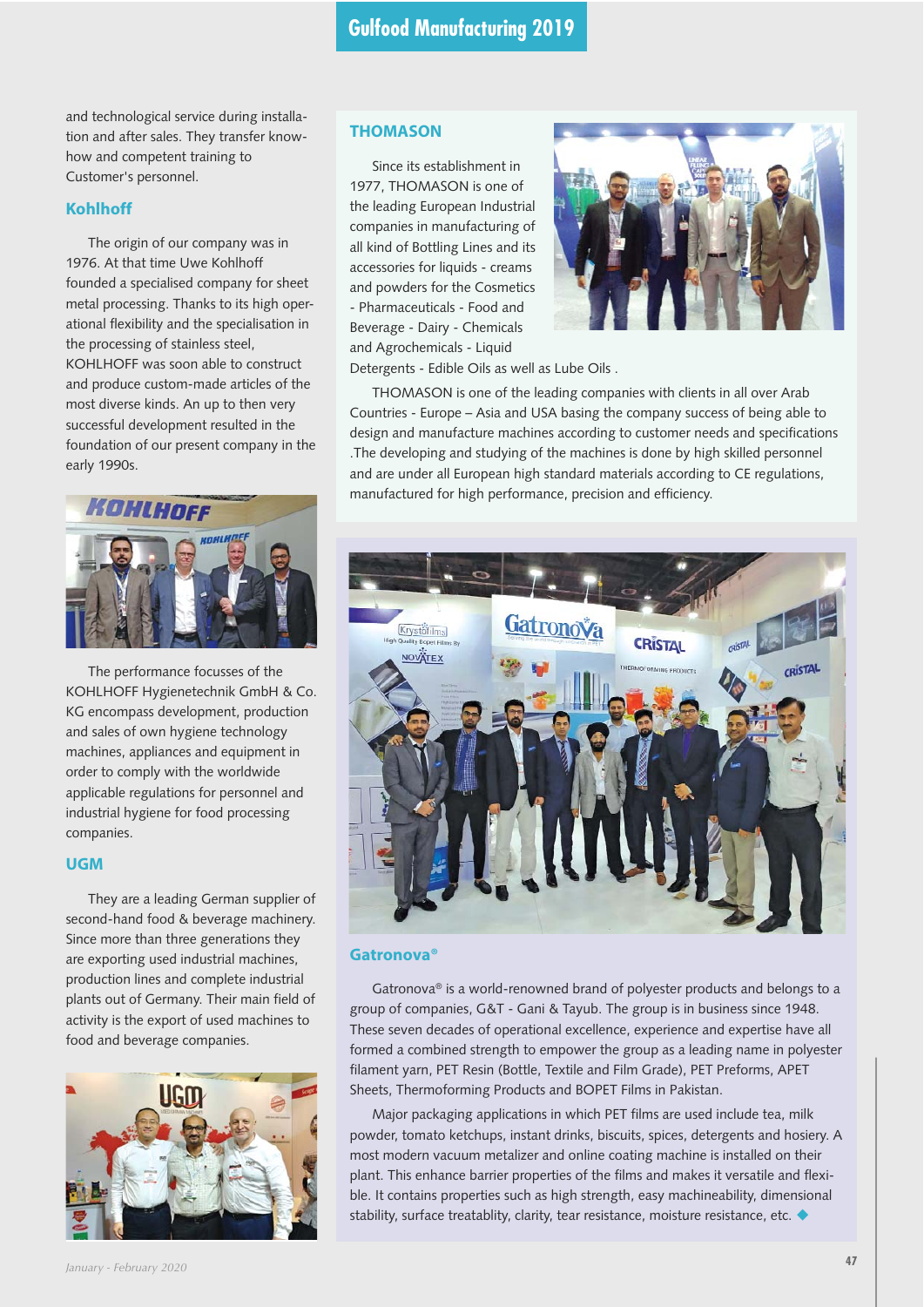and technological service during installation and after sales. They transfer knowhow and competent training to Customer's personnel.

#### **Kohlhoff**

The origin of our company was in 1976. At that time Uwe Kohlhoff founded a specialised company for sheet metal processing. Thanks to its high operational flexibility and the specialisation in the processing of stainless steel, KOHLHOFF was soon able to construct and produce custom-made articles of the most diverse kinds. An up to then very successful development resulted in the foundation of our present company in the early 1990s.



The performance focusses of the KOHLHOFF Hygienetechnik GmbH & Co. KG encompass development, production and sales of own hygiene technology machines, appliances and equipment in order to comply with the worldwide applicable regulations for personnel and industrial hygiene for food processing companies.

# **UGM**

They are a leading German supplier of second-hand food & beverage machinery. Since more than three generations they are exporting used industrial machines, production lines and complete industrial plants out of Germany. Their main field of activity is the export of used machines to food and beverage companies.



# **THOMASON**

Since its establishment in 1977, THOMASON is one of the leading European Industrial companies in manufacturing of all kind of Bottling Lines and its accessories for liquids - creams and powders for the Cosmetics - Pharmaceuticals - Food and Beverage - Dairy - Chemicals and Agrochemicals - Liquid



Detergents - Edible Oils as well as Lube Oils .

THOMASON is one of the leading companies with clients in all over Arab Countries - Europe – Asia and USA basing the company success of being able to design and manufacture machines according to customer needs and specifications .The developing and studying of the machines is done by high skilled personnel and are under all European high standard materials according to CE regulations, manufactured for high performance, precision and efficiency.



#### **Gatronova®**

Gatronova® is a world-renowned brand of polyester products and belongs to a group of companies, G&T - Gani & Tayub. The group is in business since 1948. These seven decades of operational excellence, experience and expertise have all formed a combined strength to empower the group as a leading name in polyester filament yarn, PET Resin (Bottle, Textile and Film Grade), PET Preforms, APET Sheets, Thermoforming Products and BOPET Films in Pakistan.

Major packaging applications in which PET films are used include tea, milk powder, tomato ketchups, instant drinks, biscuits, spices, detergents and hosiery. A most modern vacuum metalizer and online coating machine is installed on their plant. This enhance barrier properties of the films and makes it versatile and flexible. It contains properties such as high strength, easy machineability, dimensional stability, surface treatablity, clarity, tear resistance, moisture resistance, etc.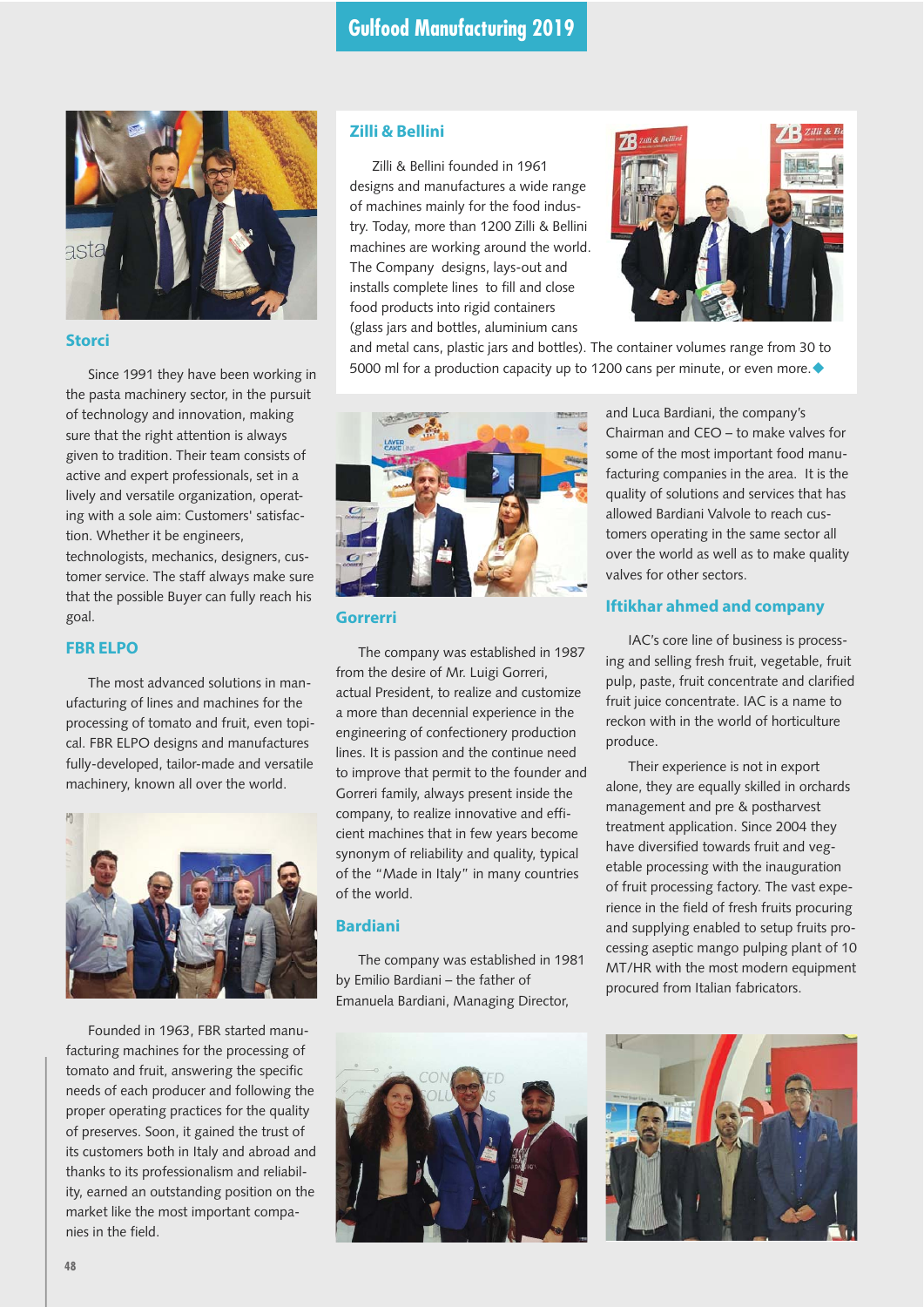

#### **Storci**

Since 1991 they have been working in the pasta machinery sector, in the pursuit of technology and innovation, making sure that the right attention is always given to tradition. Their team consists of active and expert professionals, set in a lively and versatile organization, operating with a sole aim: Customers' satisfaction. Whether it be engineers, technologists, mechanics, designers, customer service. The staff always make sure that the possible Buyer can fully reach his goal.

#### **FBR ELPO**

The most advanced solutions in manufacturing of lines and machines for the processing of tomato and fruit, even topical. FBR ELPO designs and manufactures fully-developed, tailor-made and versatile machinery, known all over the world.



Founded in 1963, FBR started manufacturing machines for the processing of tomato and fruit, answering the specific needs of each producer and following the proper operating practices for the quality of preserves. Soon, it gained the trust of its customers both in Italy and abroad and thanks to its professionalism and reliability, earned an outstanding position on the market like the most important companies in the field.

# **Zilli & Bellini**

Zilli & Bellini founded in 1961 designs and manufactures a wide range of machines mainly for the food industry. Today, more than 1200 Zilli & Bellini machines are working around the world. The Company designs, lays-out and installs complete lines to fill and close food products into rigid containers (glass jars and bottles, aluminium cans



and metal cans, plastic jars and bottles). The container volumes range from 30 to 5000 ml for a production capacity up to 1200 cans per minute, or even more.  $\blacklozenge$ 



#### **Gorrerri**

The company was established in 1987 from the desire of Mr. Luigi Gorreri, actual President, to realize and customize a more than decennial experience in the engineering of confectionery production lines. It is passion and the continue need to improve that permit to the founder and Gorreri family, always present inside the company, to realize innovative and efficient machines that in few years become synonym of reliability and quality, typical of the "Made in Italy" in many countries of the world.

# **Bardiani**

The company was established in 1981 by Emilio Bardiani – the father of Emanuela Bardiani, Managing Director,



and Luca Bardiani, the company's Chairman and CEO – to make valves for some of the most important food manufacturing companies in the area. It is the quality of solutions and services that has allowed Bardiani Valvole to reach customers operating in the same sector all over the world as well as to make quality valves for other sectors.

# **Iftikhar ahmed and company**

IAC's core line of business is processing and selling fresh fruit, vegetable, fruit pulp, paste, fruit concentrate and clarified fruit juice concentrate. IAC is a name to reckon with in the world of horticulture produce.

Their experience is not in export alone, they are equally skilled in orchards management and pre & postharvest treatment application. Since 2004 they have diversified towards fruit and vegetable processing with the inauguration of fruit processing factory. The vast experience in the field of fresh fruits procuring and supplying enabled to setup fruits processing aseptic mango pulping plant of 10 MT/HR with the most modern equipment procured from Italian fabricators.